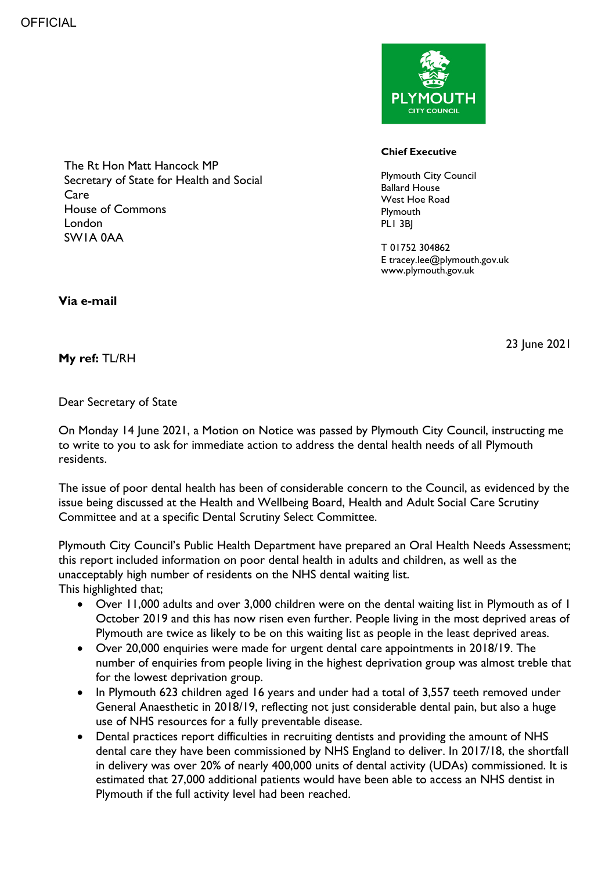

## **Chief Executive**

Plymouth City Council Ballard House West Hoe Road **Plymouth** PLI 3BI

T 01752 304862 E tracey.lee@plymouth.gov.uk www.plymouth.gov.uk

The Rt Hon Matt Hancock MP Secretary of State for Health and Social Care House of Commons London SW1A 0AA

**Via e-mail** 

23 June 2021

## **My ref:** TL/RH

## Dear Secretary of State

On Monday 14 June 2021, a Motion on Notice was passed by Plymouth City Council, instructing me to write to you to ask for immediate action to address the dental health needs of all Plymouth residents.

The issue of poor dental health has been of considerable concern to the Council, as evidenced by the issue being discussed at the Health and Wellbeing Board, Health and Adult Social Care Scrutiny Committee and at a specific Dental Scrutiny Select Committee.

Plymouth City Council's Public Health Department have prepared an Oral Health Needs Assessment; this report included information on poor dental health in adults and children, as well as the unacceptably high number of residents on the NHS dental waiting list.

This highlighted that;

- Over 11,000 adults and over 3,000 children were on the dental waiting list in Plymouth as of 1 October 2019 and this has now risen even further. People living in the most deprived areas of Plymouth are twice as likely to be on this waiting list as people in the least deprived areas.
- Over 20,000 enquiries were made for urgent dental care appointments in 2018/19. The number of enquiries from people living in the highest deprivation group was almost treble that for the lowest deprivation group.
- In Plymouth 623 children aged 16 years and under had a total of 3,557 teeth removed under General Anaesthetic in 2018/19, reflecting not just considerable dental pain, but also a huge use of NHS resources for a fully preventable disease.
- Dental practices report difficulties in recruiting dentists and providing the amount of NHS dental care they have been commissioned by NHS England to deliver. In 2017/18, the shortfall in delivery was over 20% of nearly 400,000 units of dental activity (UDAs) commissioned. It is estimated that 27,000 additional patients would have been able to access an NHS dentist in Plymouth if the full activity level had been reached.